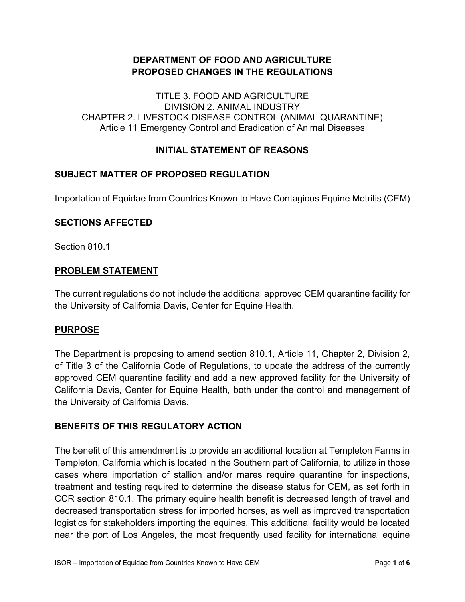## **DEPARTMENT OF FOOD AND AGRICULTURE PROPOSED CHANGES IN THE REGULATIONS**

 Article 11 Emergency Control and Eradication of Animal Diseases TITLE 3. FOOD AND AGRICULTURE DIVISION 2. ANIMAL INDUSTRY CHAPTER 2. LIVESTOCK DISEASE CONTROL (ANIMAL QUARANTINE)

### **INITIAL STATEMENT OF REASONS**

### **SUBJECT MATTER OF PROPOSED REGULATION**

Importation of Equidae from Countries Known to Have Contagious Equine Metritis (CEM)

#### **SECTIONS AFFECTED**

Section 810.1

#### **PROBLEM STATEMENT**

The current regulations do not include the additional approved CEM quarantine facility for the University of California Davis, Center for Equine Health.

#### **PURPOSE**

 The Department is proposing to amend section 810.1, Article 11, Chapter 2, Division 2, of Title 3 of the California Code of Regulations, to update the address of the currently approved CEM quarantine facility and add a new approved facility for the University of California Davis, Center for Equine Health, both under the control and management of the University of California Davis.

### **BENEFITS OF THIS REGULATORY ACTION**

 The benefit of this amendment is to provide an additional location at Templeton Farms in decreased transportation stress for imported horses, as well as improved transportation near the port of Los Angeles, the most frequently used facility for international equine Templeton, California which is located in the Southern part of California, to utilize in those cases where importation of stallion and/or mares require quarantine for inspections, treatment and testing required to determine the disease status for CEM, as set forth in CCR section 810.1. The primary equine health benefit is decreased length of travel and logistics for stakeholders importing the equines. This additional facility would be located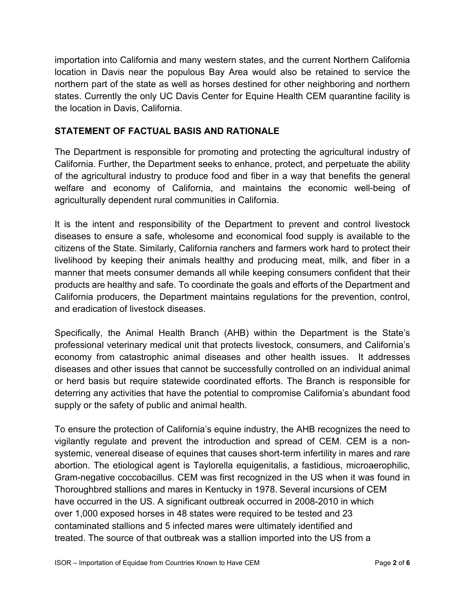importation into California and many western states, and the current Northern California location in Davis near the populous Bay Area would also be retained to service the northern part of the state as well as horses destined for other neighboring and northern states. Currently the only UC Davis Center for Equine Health CEM quarantine facility is the location in Davis, California.

## **STATEMENT OF FACTUAL BASIS AND RATIONALE**

agriculturally dependent rural communities in California. The Department is responsible for promoting and protecting the agricultural industry of California. Further, the Department seeks to enhance, protect, and perpetuate the ability of the agricultural industry to produce food and fiber in a way that benefits the general welfare and economy of California, and maintains the economic well-being of

agriculturally dependent rural communities in California.<br>It is the intent and responsibility of the Department to prevent and control livestock citizens of the State. Similarly, California ranchers and farmers work hard to protect their manner that meets consumer demands all while keeping consumers confident that their diseases to ensure a safe, wholesome and economical food supply is available to the livelihood by keeping their animals healthy and producing meat, milk, and fiber in a products are healthy and safe. To coordinate the goals and efforts of the Department and California producers, the Department maintains regulations for the prevention, control, and eradication of livestock diseases.

Specifically, the Animal Health Branch (AHB) within the Department is the State's professional veterinary medical unit that protects livestock, consumers, and California's economy from catastrophic animal diseases and other health issues. It addresses diseases and other issues that cannot be successfully controlled on an individual animal or herd basis but require statewide coordinated efforts. The Branch is responsible for deterring any activities that have the potential to compromise California's abundant food supply or the safety of public and animal health.

 To ensure the protection of California's equine industry, the AHB recognizes the need to treated. The source of that outbreak was a stallion imported into the US from a vigilantly regulate and prevent the introduction and spread of CEM. CEM is a nonsystemic, venereal disease of equines that causes short-term infertility in mares and rare abortion. The etiological agent is Taylorella equigenitalis, a fastidious, microaerophilic, Gram-negative coccobacillus. CEM was first recognized in the US when it was found in Thoroughbred stallions and mares in Kentucky in 1978. Several incursions of CEM have occurred in the US. A significant outbreak occurred in 2008-2010 in which over 1,000 exposed horses in 48 states were required to be tested and 23 contaminated stallions and 5 infected mares were ultimately identified and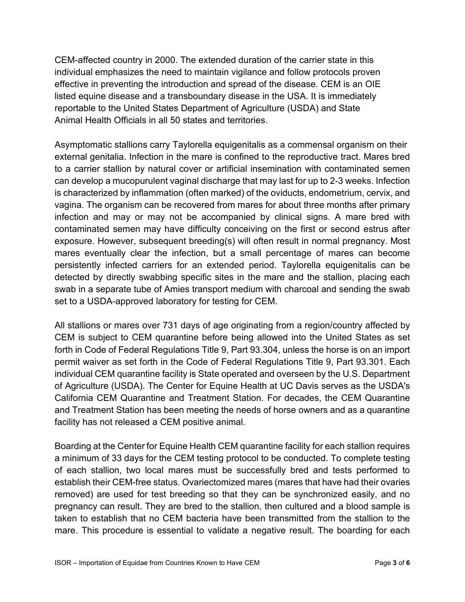CEM-affected country in 2000. The extended duration of the carrier state in this individual emphasizes the need to maintain vigilance and follow protocols proven effective in preventing the introduction and spread of the disease. CEM is an OIE listed equine disease and a transboundary disease in the USA. It is immediately reportable to the United States Department of Agriculture (USDA) and State Animal Health Officials in all 50 states and territories.

 vagina. The organism can be recovered from mares for about three months after primary infection and may or may not be accompanied by clinical signs. A mare bred with Asymptomatic stallions carry Taylorella equigenitalis as a commensal organism on their external genitalia. Infection in the mare is confined to the reproductive tract. Mares bred to a carrier stallion by natural cover or artificial insemination with contaminated semen can develop a mucopurulent vaginal discharge that may last for up to 2-3 weeks. Infection is characterized by inflammation (often marked) of the oviducts, endometrium, cervix, and contaminated semen may have difficulty conceiving on the first or second estrus after exposure. However, subsequent breeding(s) will often result in normal pregnancy. Most mares eventually clear the infection, but a small percentage of mares can become persistently infected carriers for an extended period. Taylorella equigenitalis can be detected by directly swabbing specific sites in the mare and the stallion, placing each swab in a separate tube of Amies transport medium with charcoal and sending the swab set to a USDA-approved laboratory for testing for CEM.

 All stallions or mares over 731 days of age originating from a region/country affected by permit waiver as set forth in the Code of Federal Regulations Title 9, Part 93.301. Each of Agriculture (USDA). The Center for Equine Health at UC Davis serves as the USDA's CEM is subject to CEM quarantine before being allowed into the United States as set forth in Code of Federal Regulations Title 9, Part 93.304, unless the horse is on an import individual CEM quarantine facility is State operated and overseen by the U.S. Department California CEM Quarantine and Treatment Station. For decades, the CEM Quarantine and Treatment Station has been meeting the needs of horse owners and as a quarantine facility has not released a CEM positive animal.

Boarding at the Center for Equine Health CEM quarantine facility for each stallion requires a minimum of 33 days for the CEM testing protocol to be conducted. To complete testing of each stallion, two local mares must be successfully bred and tests performed to establish their CEM-free status. Ovariectomized mares (mares that have had their ovaries removed) are used for test breeding so that they can be synchronized easily, and no pregnancy can result. They are bred to the stallion, then cultured and a blood sample is taken to establish that no CEM bacteria have been transmitted from the stallion to the mare. This procedure is essential to validate a negative result. The boarding for each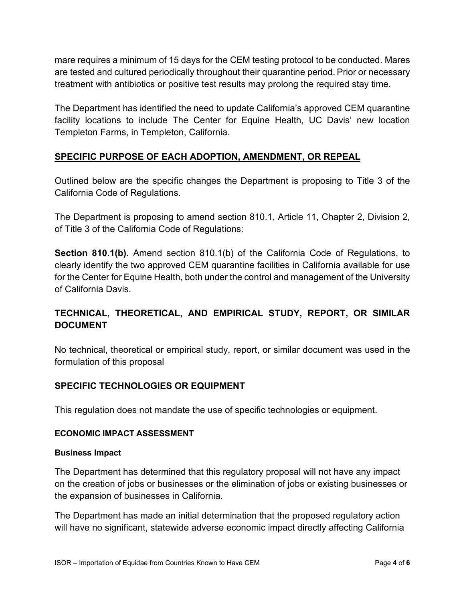mare requires a minimum of 15 days for the CEM testing protocol to be conducted. Mares are tested and cultured periodically throughout their quarantine period. Prior or necessary treatment with antibiotics or positive test results may prolong the required stay time.

The Department has identified the need to update California's approved CEM quarantine facility locations to include The Center for Equine Health, UC Davis' new location Templeton Farms, in Templeton, California.

# **SPECIFIC PURPOSE OF EACH ADOPTION, AMENDMENT, OR REPEAL**

Outlined below are the specific changes the Department is proposing to Title 3 of the California Code of Regulations.

 The Department is proposing to amend section 810.1, Article 11, Chapter 2, Division 2, of Title 3 of the California Code of Regulations:

**Section 810.1(b).** Amend section 810.1(b) of the California Code of Regulations, to clearly identify the two approved CEM quarantine facilities in California available for use for the Center for Equine Health, both under the control and management of the University of California Davis.

# **TECHNICAL, THEORETICAL, AND EMPIRICAL STUDY, REPORT, OR SIMILAR DOCUMENT**

No technical, theoretical or empirical study, report, or similar document was used in the formulation of this proposal

## **SPECIFIC TECHNOLOGIES OR EQUIPMENT**

This regulation does not mandate the use of specific technologies or equipment.

#### **ECONOMIC IMPACT ASSESSMENT**

#### **Business Impact**

The Department has determined that this regulatory proposal will not have any impact on the creation of jobs or businesses or the elimination of jobs or existing businesses or the expansion of businesses in California.

The Department has made an initial determination that the proposed regulatory action will have no significant, statewide adverse economic impact directly affecting California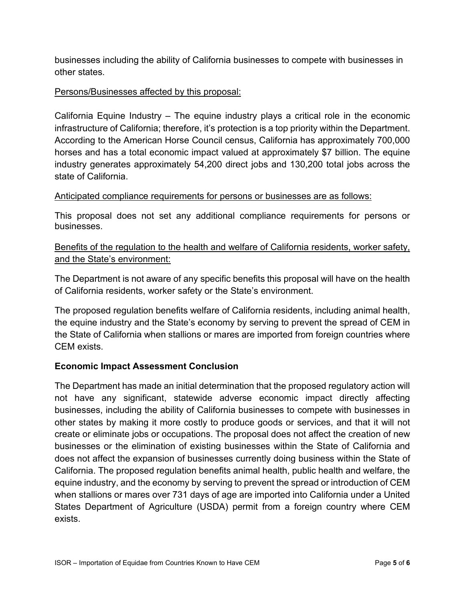businesses including the ability of California businesses to compete with businesses in other states.

### Persons/Businesses affected by this proposal:

 infrastructure of California; therefore, it's protection is a top priority within the Department. industry generates approximately 54,200 direct jobs and 130,200 total jobs across the California Equine Industry – The equine industry plays a critical role in the economic According to the American Horse Council census, California has approximately 700,000 horses and has a total economic impact valued at approximately \$7 billion. The equine state of California.

### Anticipated compliance requirements for persons or businesses are as follows:

 This proposal does not set any additional compliance requirements for persons or businesses.

# Benefits of the regulation to the health and welfare of California residents, worker safety, and the State's environment:

The Department is not aware of any specific benefits this proposal will have on the health of California residents, worker safety or the State's environment.

The proposed regulation benefits welfare of California residents, including animal health, the equine industry and the State's economy by serving to prevent the spread of CEM in the State of California when stallions or mares are imported from foreign countries where CEM exists.

## **Economic Impact Assessment Conclusion**

 The Department has made an initial determination that the proposed regulatory action will not have any significant, statewide adverse economic impact directly affecting does not affect the expansion of businesses currently doing business within the State of when stallions or mares over 731 days of age are imported into California under a United businesses, including the ability of California businesses to compete with businesses in other states by making it more costly to produce goods or services, and that it will not create or eliminate jobs or occupations. The proposal does not affect the creation of new businesses or the elimination of existing businesses within the State of California and California. The proposed regulation benefits animal health, public health and welfare, the equine industry, and the economy by serving to prevent the spread or introduction of CEM States Department of Agriculture (USDA) permit from a foreign country where CEM exists.